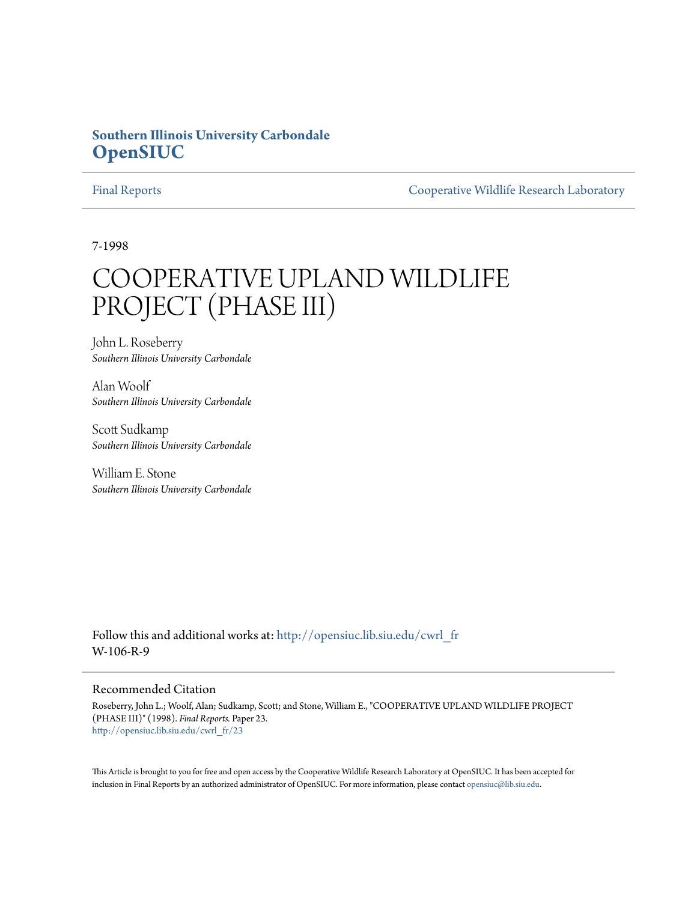# **Southern Illinois University Carbondale [OpenSIUC](http://opensiuc.lib.siu.edu?utm_source=opensiuc.lib.siu.edu%2Fcwrl_fr%2F23&utm_medium=PDF&utm_campaign=PDFCoverPages)**

[Final Reports](http://opensiuc.lib.siu.edu/cwrl_fr?utm_source=opensiuc.lib.siu.edu%2Fcwrl_fr%2F23&utm_medium=PDF&utm_campaign=PDFCoverPages) [Cooperative Wildlife Research Laboratory](http://opensiuc.lib.siu.edu/cwrl?utm_source=opensiuc.lib.siu.edu%2Fcwrl_fr%2F23&utm_medium=PDF&utm_campaign=PDFCoverPages)

7-1998

# COOPERATIVE UPLAND WILDLIFE PROJECT (PHASE III)

John L. Roseberry *Southern Illinois University Carbondale*

Alan Woolf *Southern Illinois University Carbondale*

Scott Sudkamp *Southern Illinois University Carbondale*

William E. Stone *Southern Illinois University Carbondale*

Follow this and additional works at: [http://opensiuc.lib.siu.edu/cwrl\\_fr](http://opensiuc.lib.siu.edu/cwrl_fr?utm_source=opensiuc.lib.siu.edu%2Fcwrl_fr%2F23&utm_medium=PDF&utm_campaign=PDFCoverPages) W-106-R-9

#### Recommended Citation

Roseberry, John L.; Woolf, Alan; Sudkamp, Scott; and Stone, William E., "COOPERATIVE UPLAND WILDLIFE PROJECT (PHASE III)" (1998). *Final Reports.* Paper 23. [http://opensiuc.lib.siu.edu/cwrl\\_fr/23](http://opensiuc.lib.siu.edu/cwrl_fr/23?utm_source=opensiuc.lib.siu.edu%2Fcwrl_fr%2F23&utm_medium=PDF&utm_campaign=PDFCoverPages)

This Article is brought to you for free and open access by the Cooperative Wildlife Research Laboratory at OpenSIUC. It has been accepted for inclusion in Final Reports by an authorized administrator of OpenSIUC. For more information, please contact [opensiuc@lib.siu.edu](mailto:opensiuc@lib.siu.edu).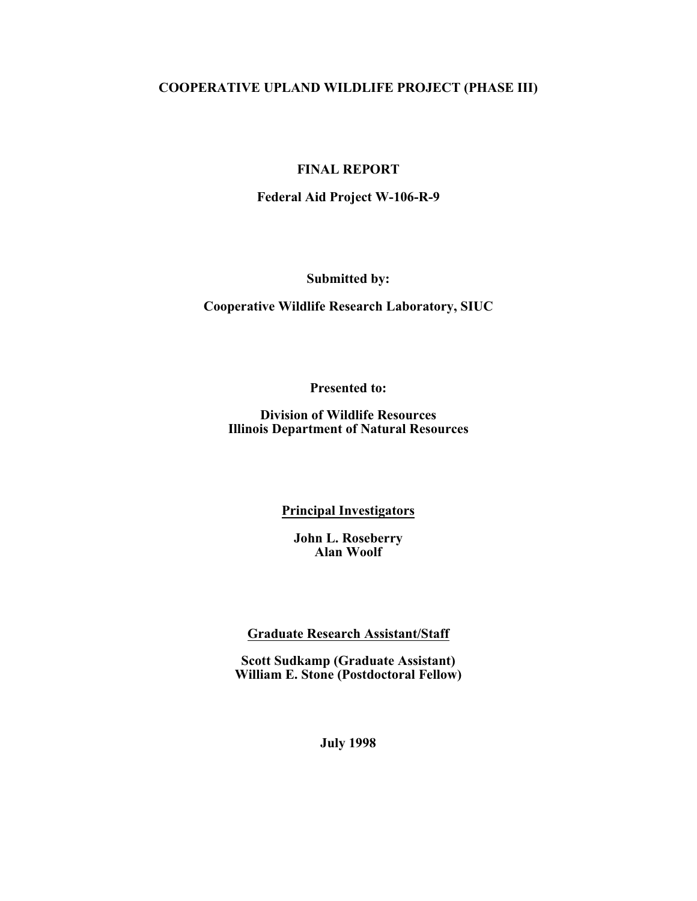# **COOPERATIVE UPLAND WILDLIFE PROJECT (PHASE III)**

# **FINAL REPORT**

# **Federal Aid Project W-106-R-9**

**Submitted by:**

**Cooperative Wildlife Research Laboratory, SIUC**

**Presented to:**

**Division of Wildlife Resources Illinois Department of Natural Resources**

#### **Principal Investigators**

**John L. Roseberry Alan Woolf**

**Graduate Research Assistant/Staff**

**Scott Sudkamp (Graduate Assistant) William E. Stone (Postdoctoral Fellow)**

**July 1998**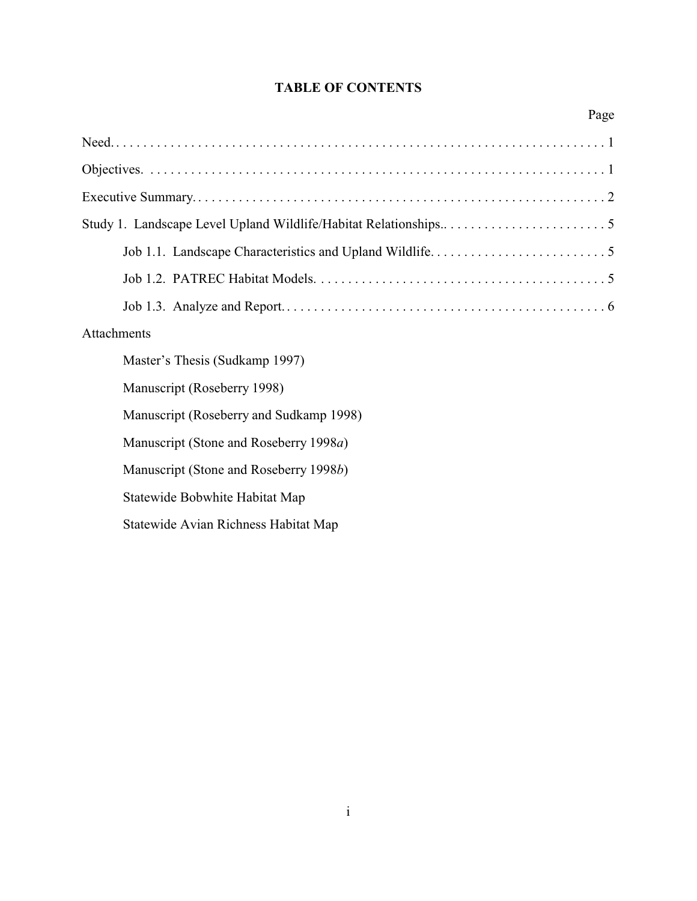# **TABLE OF CONTENTS**

| Page                                    |  |
|-----------------------------------------|--|
|                                         |  |
|                                         |  |
|                                         |  |
|                                         |  |
|                                         |  |
|                                         |  |
|                                         |  |
| Attachments                             |  |
| Master's Thesis (Sudkamp 1997)          |  |
| Manuscript (Roseberry 1998)             |  |
| Manuscript (Roseberry and Sudkamp 1998) |  |
| Manuscript (Stone and Roseberry 1998a)  |  |
| Manuscript (Stone and Roseberry 1998b)  |  |
| Statewide Bobwhite Habitat Map          |  |
| Statewide Avian Richness Habitat Map    |  |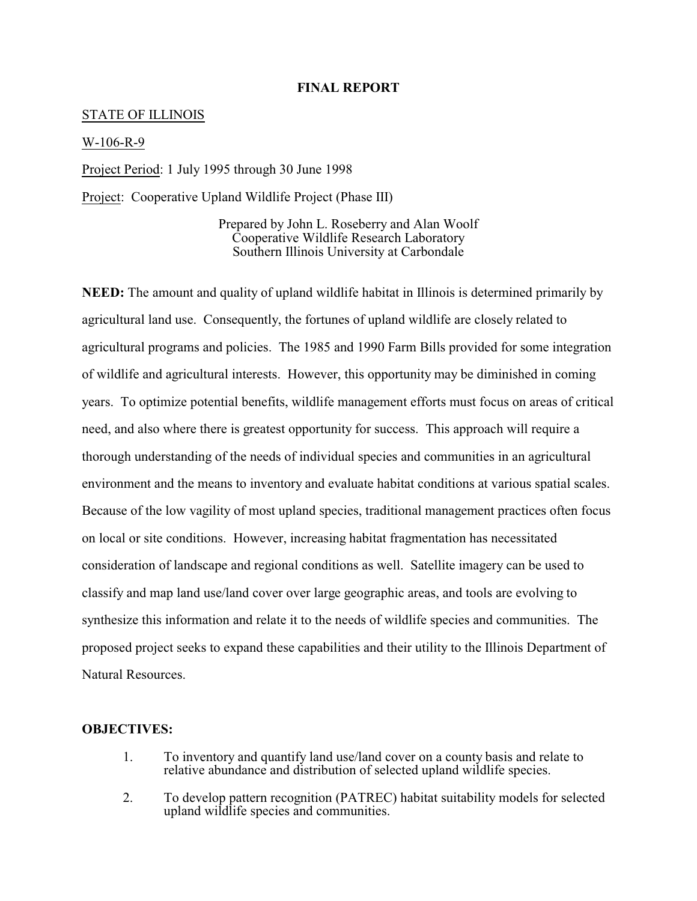#### **FINAL REPORT**

#### STATE OF ILLINOIS

#### W-106-R-9

Project Period: 1 July 1995 through 30 June 1998

Project: Cooperative Upland Wildlife Project (Phase III)

Prepared by John L. Roseberry and Alan Woolf Cooperative Wildlife Research Laboratory Southern Illinois University at Carbondale

**NEED:** The amount and quality of upland wildlife habitat in Illinois is determined primarily by agricultural land use. Consequently, the fortunes of upland wildlife are closely related to agricultural programs and policies. The 1985 and 1990 Farm Bills provided for some integration of wildlife and agricultural interests. However, this opportunity may be diminished in coming years. To optimize potential benefits, wildlife management efforts must focus on areas of critical need, and also where there is greatest opportunity for success. This approach will require a thorough understanding of the needs of individual species and communities in an agricultural environment and the means to inventory and evaluate habitat conditions at various spatial scales. Because of the low vagility of most upland species, traditional management practices often focus on local or site conditions. However, increasing habitat fragmentation has necessitated consideration of landscape and regional conditions as well. Satellite imagery can be used to classify and map land use/land cover over large geographic areas, and tools are evolving to synthesize this information and relate it to the needs of wildlife species and communities. The proposed project seeks to expand these capabilities and their utility to the Illinois Department of Natural Resources.

#### **OBJECTIVES:**

- 1. To inventory and quantify land use/land cover on a county basis and relate to relative abundance and distribution of selected upland wildlife species.
- 2. To develop pattern recognition (PATREC) habitat suitability models for selected upland wildlife species and communities.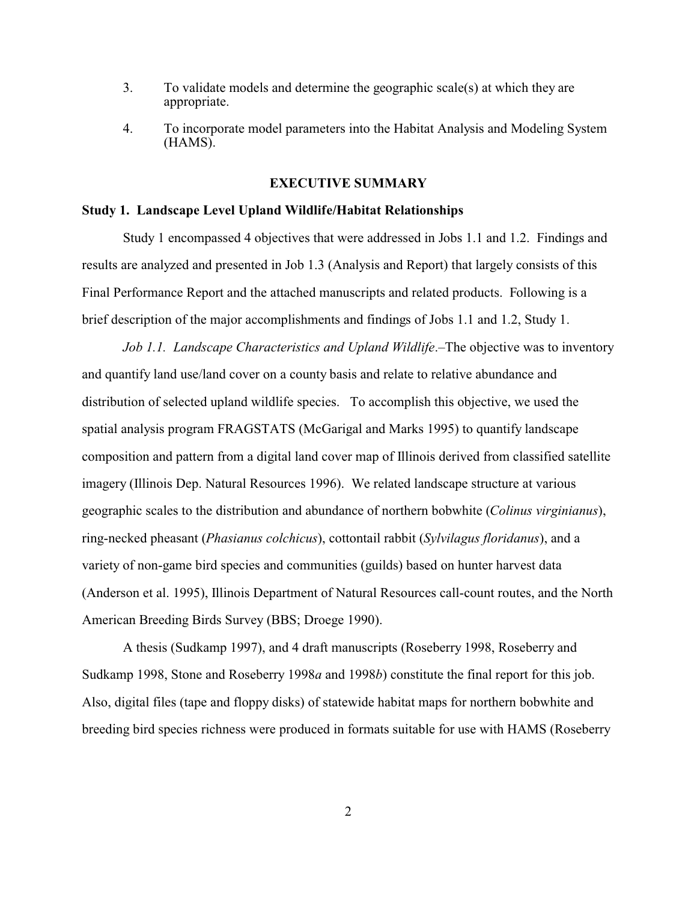- 3. To validate models and determine the geographic scale(s) at which they are appropriate.
- 4. To incorporate model parameters into the Habitat Analysis and Modeling System (HAMS).

#### **EXECUTIVE SUMMARY**

#### **Study 1. Landscape Level Upland Wildlife/Habitat Relationships**

Study 1 encompassed 4 objectives that were addressed in Jobs 1.1 and 1.2. Findings and results are analyzed and presented in Job 1.3 (Analysis and Report) that largely consists of this Final Performance Report and the attached manuscripts and related products. Following is a brief description of the major accomplishments and findings of Jobs 1.1 and 1.2, Study 1.

*Job 1.1. Landscape Characteristics and Upland Wildlife*.–The objective was to inventory and quantify land use/land cover on a county basis and relate to relative abundance and distribution of selected upland wildlife species. To accomplish this objective, we used the spatial analysis program FRAGSTATS (McGarigal and Marks 1995) to quantify landscape composition and pattern from a digital land cover map of Illinois derived from classified satellite imagery (Illinois Dep. Natural Resources 1996). We related landscape structure at various geographic scales to the distribution and abundance of northern bobwhite (*Colinus virginianus*), ring-necked pheasant (*Phasianus colchicus*), cottontail rabbit (*Sylvilagus floridanus*), and a variety of non-game bird species and communities (guilds) based on hunter harvest data (Anderson et al. 1995), Illinois Department of Natural Resources call-count routes, and the North American Breeding Birds Survey (BBS; Droege 1990).

A thesis (Sudkamp 1997), and 4 draft manuscripts (Roseberry 1998, Roseberry and Sudkamp 1998, Stone and Roseberry 1998*a* and 1998*b*) constitute the final report for this job. Also, digital files (tape and floppy disks) of statewide habitat maps for northern bobwhite and breeding bird species richness were produced in formats suitable for use with HAMS (Roseberry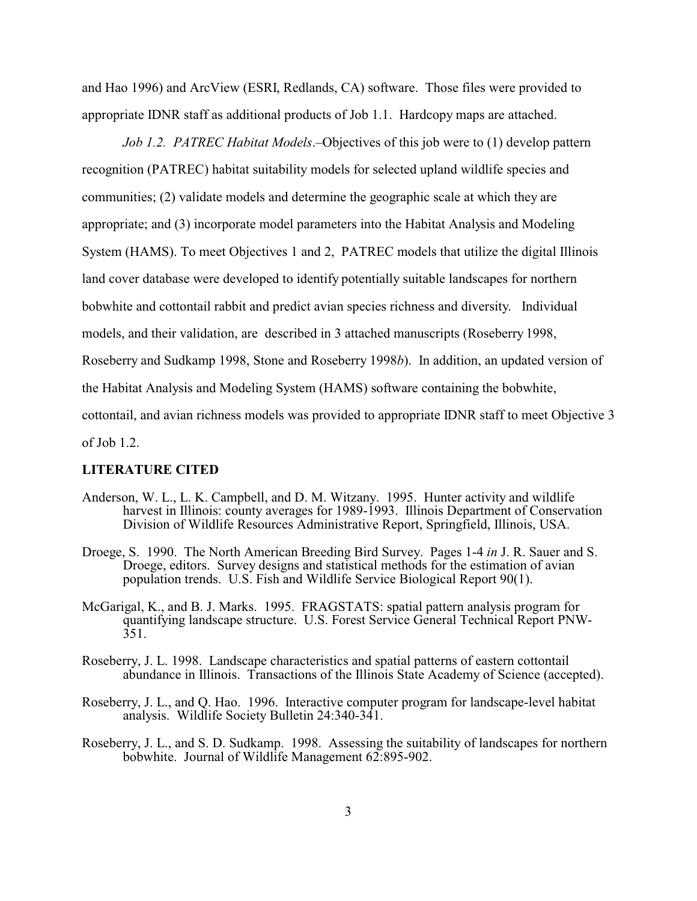and Hao 1996) and ArcView (ESRI, Redlands, CA) software. Those files were provided to appropriate IDNR staff as additional products of Job 1.1. Hardcopy maps are attached.

*Job 1.2. PATREC Habitat Models*.–Objectives of this job were to (1) develop pattern recognition (PATREC) habitat suitability models for selected upland wildlife species and communities; (2) validate models and determine the geographic scale at which they are appropriate; and (3) incorporate model parameters into the Habitat Analysis and Modeling System (HAMS). To meet Objectives 1 and 2, PATREC models that utilize the digital Illinois land cover database were developed to identify potentially suitable landscapes for northern bobwhite and cottontail rabbit and predict avian species richness and diversity. Individual models, and their validation, are described in 3 attached manuscripts (Roseberry 1998, Roseberry and Sudkamp 1998, Stone and Roseberry 1998*b*). In addition, an updated version of the Habitat Analysis and Modeling System (HAMS) software containing the bobwhite, cottontail, and avian richness models was provided to appropriate IDNR staff to meet Objective 3 of Job 1.2.

#### **LITERATURE CITED**

- Anderson, W. L., L. K. Campbell, and D. M. Witzany. 1995. Hunter activity and wildlife harvest in Illinois: county averages for 1989-1993. Illinois Department of Conservation Division of Wildlife Resources Administrative Report, Springfield, Illinois, USA.
- Droege, S. 1990. The North American Breeding Bird Survey. Pages 1-4 *in* J. R. Sauer and S. Droege, editors. Survey designs and statistical methods for the estimation of avian population trends. U.S. Fish and Wildlife Service Biological Report 90(1).
- McGarigal, K., and B. J. Marks. 1995. FRAGSTATS: spatial pattern analysis program for quantifying landscape structure. U.S. Forest Service General Technical Report PNW- $351.$
- Roseberry, J. L. 1998. Landscape characteristics and spatial patterns of eastern cottontail abundance in Illinois. Transactions of the Illinois State Academy of Science (accepted).
- Roseberry, J. L., and Q. Hao. 1996. Interactive computer program for landscape-level habitat analysis. Wildlife Society Bulletin 24:340-341.
- Roseberry, J. L., and S. D. Sudkamp. 1998. Assessing the suitability of landscapes for northern bobwhite. Journal of Wildlife Management 62:895-902.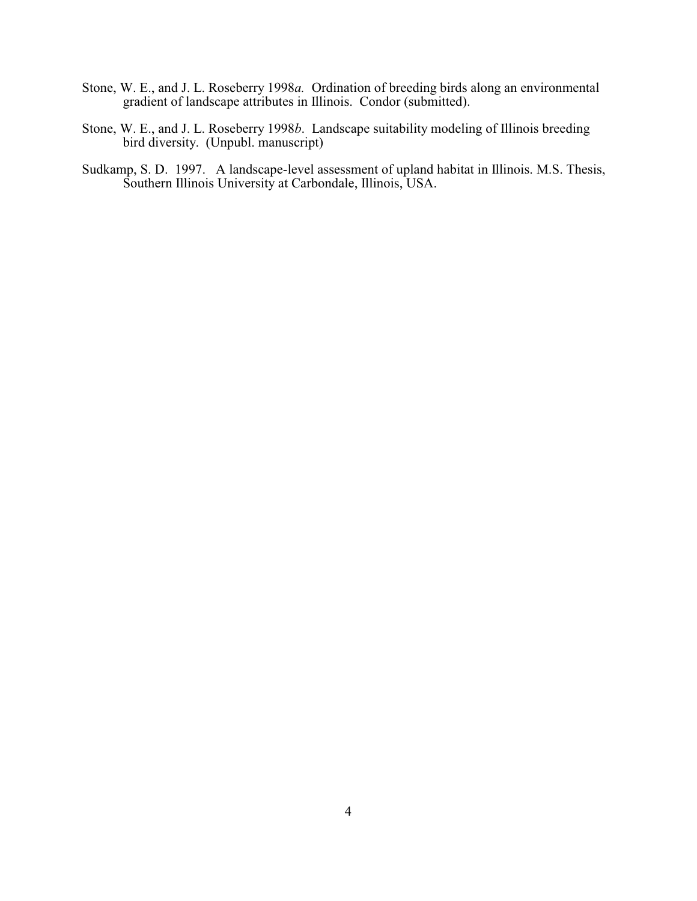- Stone, W. E., and J. L. Roseberry 1998*a.* Ordination of breeding birds along an environmental gradient of landscape attributes in Illinois. Condor (submitted).
- Stone, W. E., and J. L. Roseberry 1998*b*. Landscape suitability modeling of Illinois breeding bird diversity. (Unpubl. manuscript)
- Sudkamp, S. D. 1997. A landscape-level assessment of upland habitat in Illinois. M.S. Thesis, Southern Illinois University at Carbondale, Illinois, USA.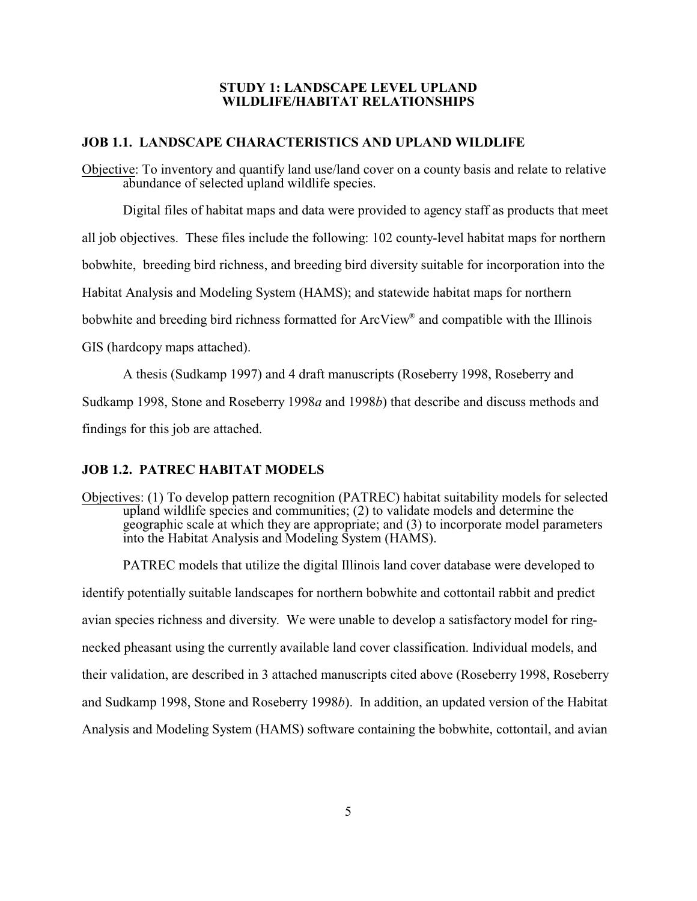#### **STUDY 1: LANDSCAPE LEVEL UPLAND WILDLIFE/HABITAT RELATIONSHIPS**

#### **JOB 1.1. LANDSCAPE CHARACTERISTICS AND UPLAND WILDLIFE**

Objective: To inventory and quantify land use/land cover on a county basis and relate to relative abundance of selected upland wildlife species.

Digital files of habitat maps and data were provided to agency staff as products that meet

all job objectives. These files include the following: 102 county-level habitat maps for northern

bobwhite, breeding bird richness, and breeding bird diversity suitable for incorporation into the

Habitat Analysis and Modeling System (HAMS); and statewide habitat maps for northern

bobwhite and breeding bird richness formatted for ArcView® and compatible with the Illinois

GIS (hardcopy maps attached).

A thesis (Sudkamp 1997) and 4 draft manuscripts (Roseberry 1998, Roseberry and

Sudkamp 1998, Stone and Roseberry 1998*a* and 1998*b*) that describe and discuss methods and

findings for this job are attached.

### **JOB 1.2. PATREC HABITAT MODELS**

Objectives: (1) To develop pattern recognition (PATREC) habitat suitability models for selected upland wildlife species and communities; (2) to validate models and determine the geographic scale at which they are appropriate; and (3) to incorporate model parameters into the Habitat Analysis and Modeling System (HAMS).

PATREC models that utilize the digital Illinois land cover database were developed to identify potentially suitable landscapes for northern bobwhite and cottontail rabbit and predict avian species richness and diversity. We were unable to develop a satisfactory model for ringnecked pheasant using the currently available land cover classification. Individual models, and their validation, are described in 3 attached manuscripts cited above (Roseberry 1998, Roseberry and Sudkamp 1998, Stone and Roseberry 1998*b*). In addition, an updated version of the Habitat Analysis and Modeling System (HAMS) software containing the bobwhite, cottontail, and avian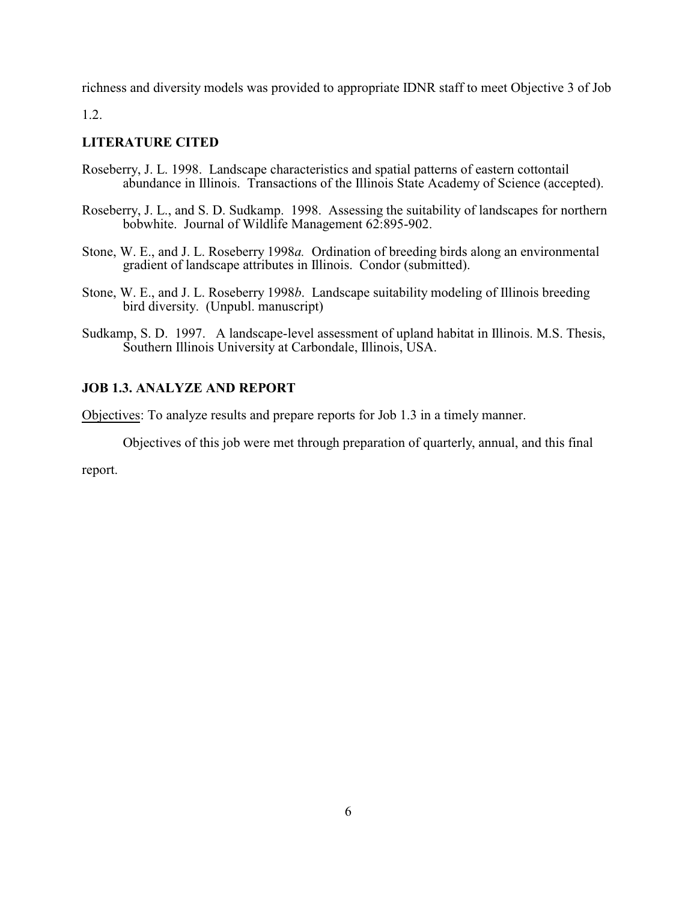richness and diversity models was provided to appropriate IDNR staff to meet Objective 3 of Job

1.2.

# **LITERATURE CITED**

- Roseberry, J. L. 1998. Landscape characteristics and spatial patterns of eastern cottontail abundance in Illinois. Transactions of the Illinois State Academy of Science (accepted).
- Roseberry, J. L., and S. D. Sudkamp. 1998. Assessing the suitability of landscapes for northern bobwhite. Journal of Wildlife Management 62:895-902.
- Stone, W. E., and J. L. Roseberry 1998*a.* Ordination of breeding birds along an environmental gradient of landscape attributes in Illinois. Condor (submitted).
- Stone, W. E., and J. L. Roseberry 1998*b*. Landscape suitability modeling of Illinois breeding bird diversity. (Unpubl. manuscript)
- Sudkamp, S. D. 1997. A landscape-level assessment of upland habitat in Illinois. M.S. Thesis, Southern Illinois University at Carbondale, Illinois, USA.

# **JOB 1.3. ANALYZE AND REPORT**

Objectives: To analyze results and prepare reports for Job 1.3 in a timely manner.

Objectives of this job were met through preparation of quarterly, annual, and this final

report.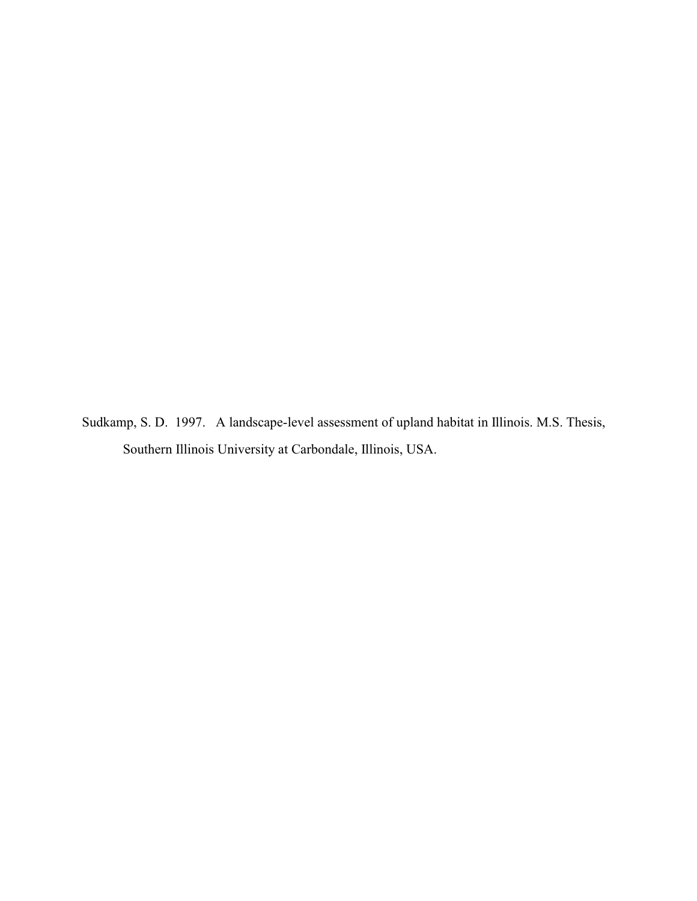Sudkamp, S. D. 1997. A landscape-level assessment of upland habitat in Illinois. M.S. Thesis, Southern Illinois University at Carbondale, Illinois, USA.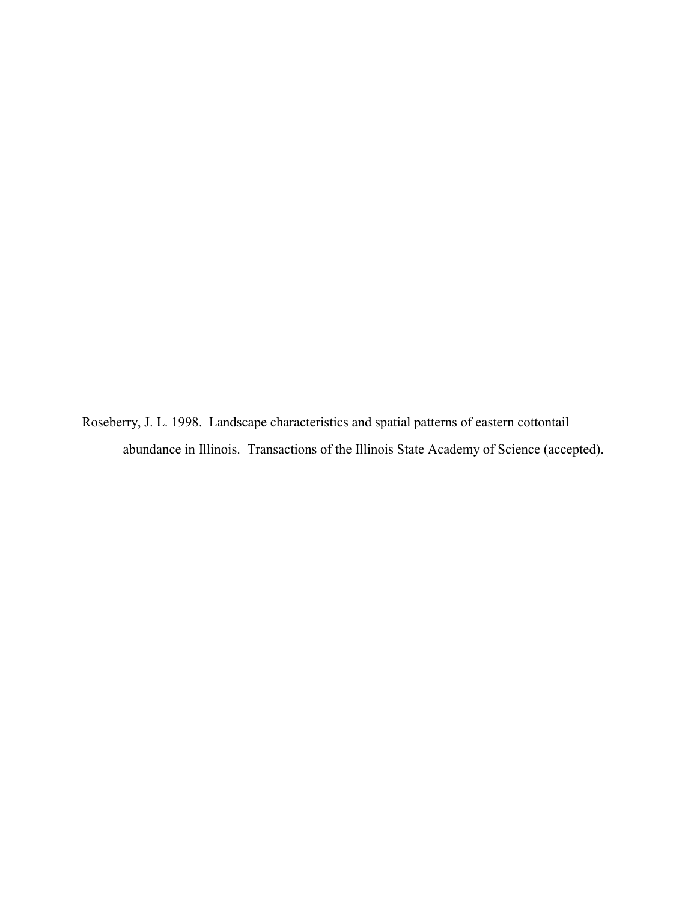Roseberry, J. L. 1998. Landscape characteristics and spatial patterns of eastern cottontail abundance in Illinois. Transactions of the Illinois State Academy of Science (accepted).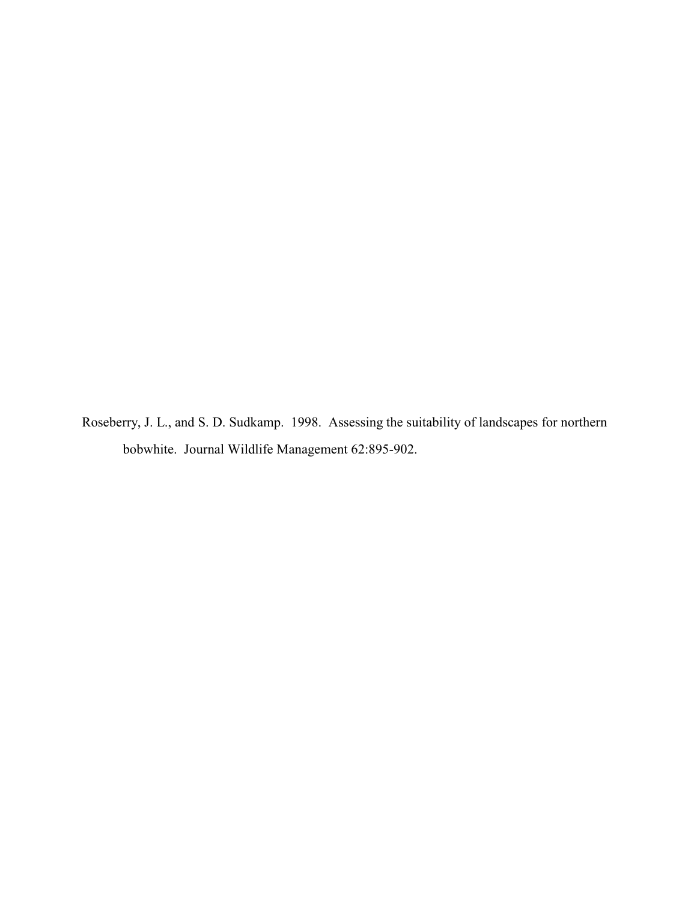Roseberry, J. L., and S. D. Sudkamp. 1998. Assessing the suitability of landscapes for northern bobwhite. Journal Wildlife Management 62:895-902.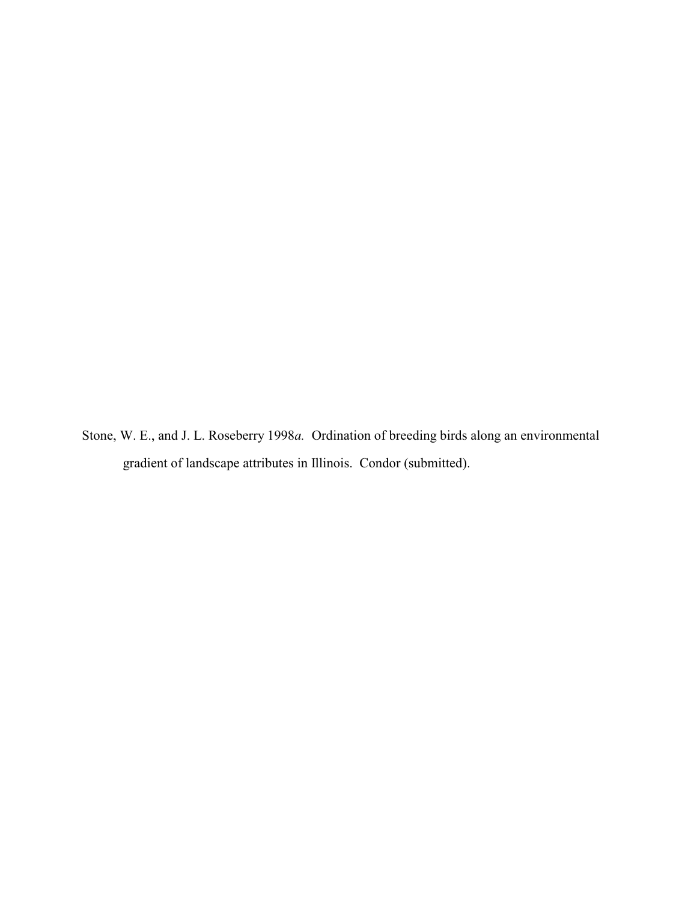Stone, W. E., and J. L. Roseberry 1998*a.* Ordination of breeding birds along an environmental gradient of landscape attributes in Illinois. Condor (submitted).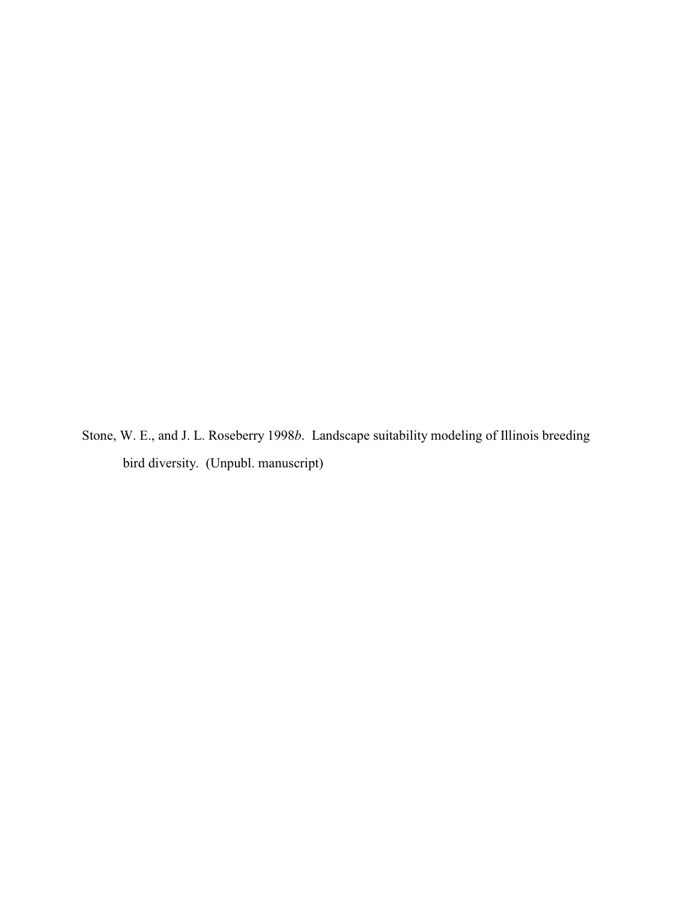Stone, W. E., and J. L. Roseberry 1998*b*. Landscape suitability modeling of Illinois breeding bird diversity. (Unpubl. manuscript)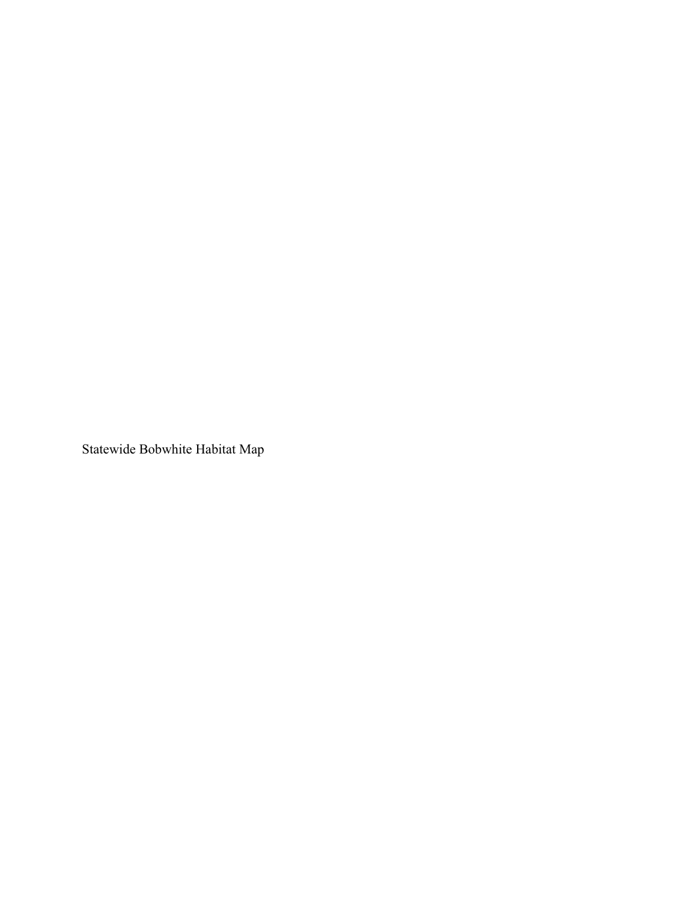Statewide Bobwhite Habitat Map